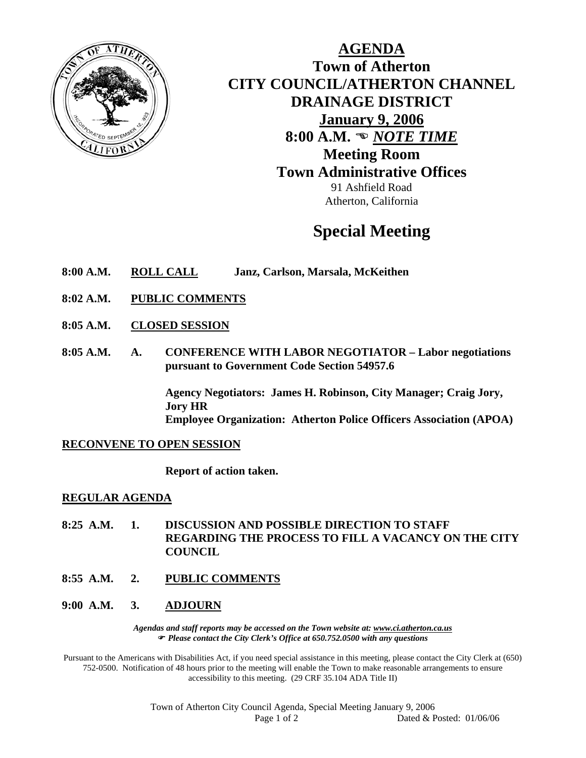

**AGENDA Town of Atherton CITY COUNCIL/ATHERTON CHANNEL DRAINAGE DISTRICT January 9, 2006** 8:00 A.M.  $\bullet$  *NOTE TIME* **Meeting Room Town Administrative Offices**  91 Ashfield Road Atherton, California

# **Special Meeting**

- **8:00 A.M. ROLL CALL Janz, Carlson, Marsala, McKeithen**
- **8:02 A.M. PUBLIC COMMENTS**
- **8:05 A.M. CLOSED SESSION**
- **8:05 A.M. A. CONFERENCE WITH LABOR NEGOTIATOR Labor negotiations pursuant to Government Code Section 54957.6**

**Agency Negotiators: James H. Robinson, City Manager; Craig Jory, Jory HR Employee Organization: Atherton Police Officers Association (APOA)** 

#### **RECONVENE TO OPEN SESSION**

**Report of action taken.** 

#### **REGULAR AGENDA**

- **8:25 A.M. 1. DISCUSSION AND POSSIBLE DIRECTION TO STAFF REGARDING THE PROCESS TO FILL A VACANCY ON THE CITY COUNCIL**
- **8:55 A.M. 2. PUBLIC COMMENTS**

#### **9:00 A.M. 3. ADJOURN**

*Agendas and staff reports may be accessed on the Town website at: www.ci.atherton.ca.us* ) *Please contact the City Clerk's Office at 650.752.0500 with any questions* 

Pursuant to the Americans with Disabilities Act, if you need special assistance in this meeting, please contact the City Clerk at (650) 752-0500. Notification of 48 hours prior to the meeting will enable the Town to make reasonable arrangements to ensure accessibility to this meeting. (29 CRF 35.104 ADA Title II)

> Town of Atherton City Council Agenda, Special Meeting January 9, 2006 Page 1 of 2 Dated & Posted: 01/06/06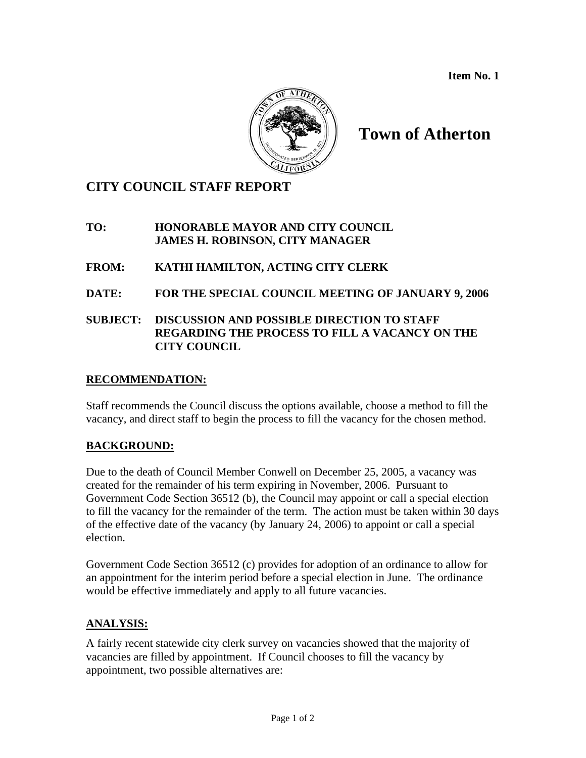**Item No. 1** 



## **Town of Atherton**

### **CITY COUNCIL STAFF REPORT**

#### **TO: HONORABLE MAYOR AND CITY COUNCIL JAMES H. ROBINSON, CITY MANAGER**

#### **FROM: KATHI HAMILTON, ACTING CITY CLERK**

**DATE: FOR THE SPECIAL COUNCIL MEETING OF JANUARY 9, 2006**

#### **SUBJECT: DISCUSSION AND POSSIBLE DIRECTION TO STAFF REGARDING THE PROCESS TO FILL A VACANCY ON THE CITY COUNCIL**

#### **RECOMMENDATION:**

Staff recommends the Council discuss the options available, choose a method to fill the vacancy, and direct staff to begin the process to fill the vacancy for the chosen method.

#### **BACKGROUND:**

Due to the death of Council Member Conwell on December 25, 2005, a vacancy was created for the remainder of his term expiring in November, 2006. Pursuant to Government Code Section 36512 (b), the Council may appoint or call a special election to fill the vacancy for the remainder of the term. The action must be taken within 30 days of the effective date of the vacancy (by January 24, 2006) to appoint or call a special election.

Government Code Section 36512 (c) provides for adoption of an ordinance to allow for an appointment for the interim period before a special election in June. The ordinance would be effective immediately and apply to all future vacancies.

#### **ANALYSIS:**

A fairly recent statewide city clerk survey on vacancies showed that the majority of vacancies are filled by appointment. If Council chooses to fill the vacancy by appointment, two possible alternatives are: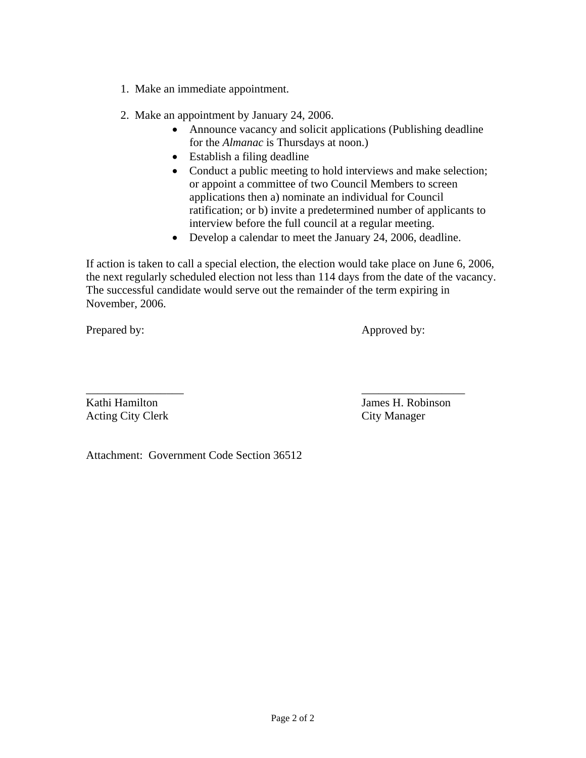- 1. Make an immediate appointment.
- 2. Make an appointment by January 24, 2006.
	- Announce vacancy and solicit applications (Publishing deadline for the *Almanac* is Thursdays at noon.)
	- Establish a filing deadline
	- Conduct a public meeting to hold interviews and make selection; or appoint a committee of two Council Members to screen applications then a) nominate an individual for Council ratification; or b) invite a predetermined number of applicants to interview before the full council at a regular meeting.
	- Develop a calendar to meet the January 24, 2006, deadline.

If action is taken to call a special election, the election would take place on June 6, 2006, the next regularly scheduled election not less than 114 days from the date of the vacancy. The successful candidate would serve out the remainder of the term expiring in November, 2006.

Prepared by: Approved by:

\_\_\_\_\_\_\_\_\_\_\_\_\_\_\_\_\_ \_\_\_\_\_\_\_\_\_\_\_\_\_\_\_\_\_\_ Acting City Clerk City Manager

Kathi Hamilton James H. Robinson

Attachment: Government Code Section 36512